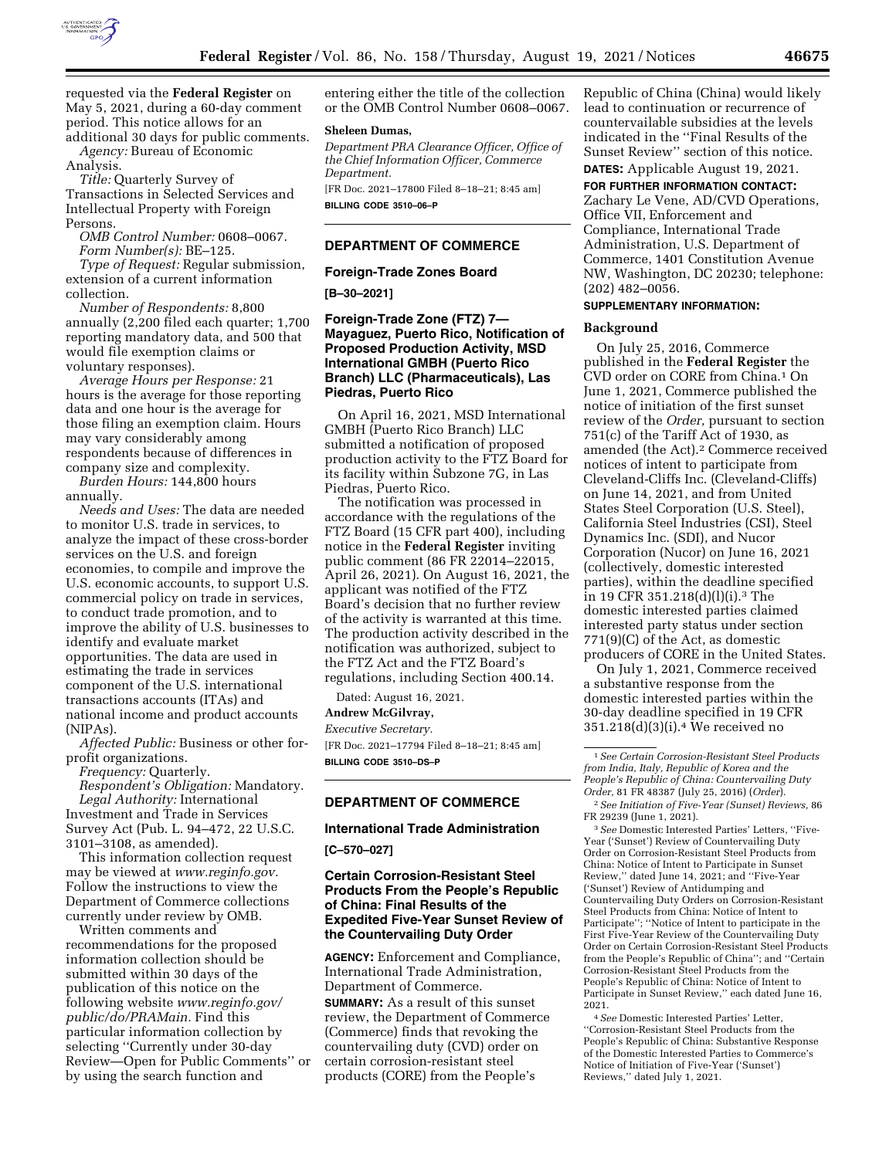

requested via the **Federal Register** on May 5, 2021, during a 60-day comment period. This notice allows for an additional 30 days for public comments.

*Agency:* Bureau of Economic Analysis.

*Title:* Quarterly Survey of Transactions in Selected Services and Intellectual Property with Foreign Persons.

*OMB Control Number:* 0608–0067. *Form Number(s):* BE–125.

*Type of Request:* Regular submission, extension of a current information collection.

*Number of Respondents:* 8,800 annually (2,200 filed each quarter; 1,700 reporting mandatory data, and 500 that would file exemption claims or voluntary responses).

*Average Hours per Response:* 21 hours is the average for those reporting data and one hour is the average for those filing an exemption claim. Hours may vary considerably among respondents because of differences in company size and complexity.

*Burden Hours:* 144,800 hours annually.

*Needs and Uses:* The data are needed to monitor U.S. trade in services, to analyze the impact of these cross-border services on the U.S. and foreign economies, to compile and improve the U.S. economic accounts, to support U.S. commercial policy on trade in services, to conduct trade promotion, and to improve the ability of U.S. businesses to identify and evaluate market opportunities. The data are used in estimating the trade in services component of the U.S. international transactions accounts (ITAs) and national income and product accounts (NIPAs).

*Affected Public:* Business or other forprofit organizations.

*Frequency:* Quarterly.

*Respondent's Obligation:* Mandatory. *Legal Authority:* International Investment and Trade in Services

Survey Act (Pub. L. 94–472, 22 U.S.C. 3101–3108, as amended).

This information collection request may be viewed at *www.reginfo.gov.*  Follow the instructions to view the Department of Commerce collections currently under review by OMB.

Written comments and recommendations for the proposed information collection should be submitted within 30 days of the publication of this notice on the following website *www.reginfo.gov/ public/do/PRAMain.* Find this particular information collection by selecting ''Currently under 30-day Review—Open for Public Comments'' or by using the search function and

entering either the title of the collection or the OMB Control Number 0608–0067.

#### **Sheleen Dumas,**

*Department PRA Clearance Officer, Office of the Chief Information Officer, Commerce Department.* 

[FR Doc. 2021–17800 Filed 8–18–21; 8:45 am] **BILLING CODE 3510–06–P** 

### **DEPARTMENT OF COMMERCE**

### **Foreign-Trade Zones Board**

**[B–30–2021]** 

### **Foreign-Trade Zone (FTZ) 7— Mayaguez, Puerto Rico, Notification of Proposed Production Activity, MSD International GMBH (Puerto Rico Branch) LLC (Pharmaceuticals), Las Piedras, Puerto Rico**

On April 16, 2021, MSD International GMBH (Puerto Rico Branch) LLC submitted a notification of proposed production activity to the FTZ Board for its facility within Subzone 7G, in Las Piedras, Puerto Rico.

The notification was processed in accordance with the regulations of the FTZ Board (15 CFR part 400), including notice in the **Federal Register** inviting public comment (86 FR 22014–22015, April 26, 2021). On August 16, 2021, the applicant was notified of the FTZ Board's decision that no further review of the activity is warranted at this time. The production activity described in the notification was authorized, subject to the FTZ Act and the FTZ Board's regulations, including Section 400.14.

Dated: August 16, 2021.

# **Andrew McGilvray,**

*Executive Secretary.*  [FR Doc. 2021–17794 Filed 8–18–21; 8:45 am] **BILLING CODE 3510–DS–P** 

## **DEPARTMENT OF COMMERCE**

### **International Trade Administration**

**[C–570–027]** 

## **Certain Corrosion-Resistant Steel Products From the People's Republic of China: Final Results of the Expedited Five-Year Sunset Review of the Countervailing Duty Order**

**AGENCY:** Enforcement and Compliance, International Trade Administration, Department of Commerce.

**SUMMARY:** As a result of this sunset review, the Department of Commerce (Commerce) finds that revoking the countervailing duty (CVD) order on certain corrosion-resistant steel products (CORE) from the People's

Republic of China (China) would likely lead to continuation or recurrence of countervailable subsidies at the levels indicated in the ''Final Results of the Sunset Review'' section of this notice. **DATES:** Applicable August 19, 2021.

# **FOR FURTHER INFORMATION CONTACT:**

Zachary Le Vene, AD/CVD Operations, Office VII, Enforcement and Compliance, International Trade Administration, U.S. Department of Commerce, 1401 Constitution Avenue NW, Washington, DC 20230; telephone: (202) 482–0056.

## **SUPPLEMENTARY INFORMATION:**

### **Background**

On July 25, 2016, Commerce published in the **Federal Register** the CVD order on CORE from China.1 On June 1, 2021, Commerce published the notice of initiation of the first sunset review of the *Order,* pursuant to section 751(c) of the Tariff Act of 1930, as amended (the Act).2 Commerce received notices of intent to participate from Cleveland-Cliffs Inc. (Cleveland-Cliffs) on June 14, 2021, and from United States Steel Corporation (U.S. Steel), California Steel Industries (CSI), Steel Dynamics Inc. (SDI), and Nucor Corporation (Nucor) on June 16, 2021 (collectively, domestic interested parties), within the deadline specified in 19 CFR 351.218(d)(l)(i).3 The domestic interested parties claimed interested party status under section 771(9)(C) of the Act, as domestic producers of CORE in the United States.

On July 1, 2021, Commerce received a substantive response from the domestic interested parties within the 30-day deadline specified in 19 CFR 351.218(d)(3)(i).4 We received no

2*See Initiation of Five-Year (Sunset) Reviews,* 86 FR 29239 (June 1, 2021).

3*See* Domestic Interested Parties' Letters, ''Five-Year ('Sunset') Review of Countervailing Duty Order on Corrosion-Resistant Steel Products from China: Notice of Intent to Participate in Sunset Review,'' dated June 14, 2021; and ''Five-Year ('Sunset') Review of Antidumping and Countervailing Duty Orders on Corrosion-Resistant Steel Products from China: Notice of Intent to Participate''; ''Notice of Intent to participate in the First Five-Year Review of the Countervailing Duty Order on Certain Corrosion-Resistant Steel Products from the People's Republic of China''; and ''Certain Corrosion-Resistant Steel Products from the People's Republic of China: Notice of Intent to Participate in Sunset Review,'' each dated June 16, 2021.

4*See* Domestic Interested Parties' Letter, ''Corrosion-Resistant Steel Products from the People's Republic of China: Substantive Response of the Domestic Interested Parties to Commerce's Notice of Initiation of Five-Year ('Sunset') Reviews,'' dated July 1, 2021.

<sup>1</sup>*See Certain Corrosion-Resistant Steel Products from India, Italy, Republic of Korea and the People's Republic of China: Countervailing Duty Order,* 81 FR 48387 (July 25, 2016) (*Order*).